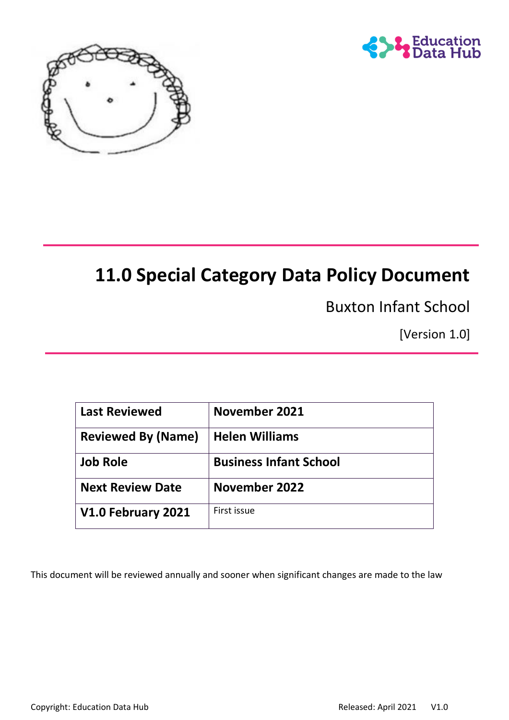



# **11.0 Special Category Data Policy Document**

Buxton Infant School

[Version 1.0]

| <b>Last Reviewed</b>      | <b>November 2021</b>          |
|---------------------------|-------------------------------|
| <b>Reviewed By (Name)</b> | <b>Helen Williams</b>         |
| <b>Job Role</b>           | <b>Business Infant School</b> |
| <b>Next Review Date</b>   | <b>November 2022</b>          |
| V1.0 February 2021        | First issue                   |

This document will be reviewed annually and sooner when significant changes are made to the law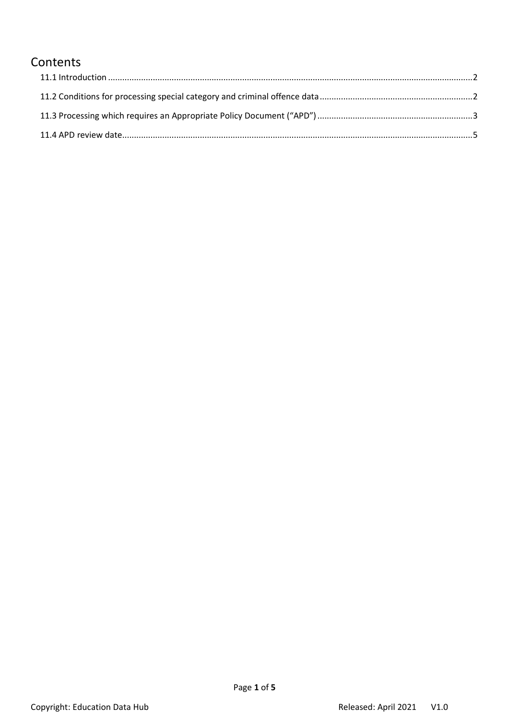# **Contents**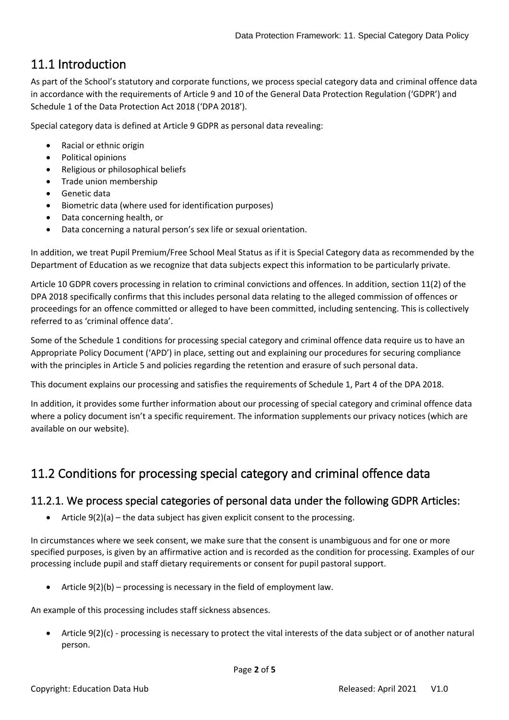# <span id="page-2-0"></span>11.1 Introduction

As part of the School's statutory and corporate functions, we process special category data and criminal offence data in accordance with the requirements of Article 9 and 10 of the General Data Protection Regulation ('GDPR') and Schedule 1 of the Data Protection Act 2018 ('DPA 2018').

Special category data is defined at Article 9 GDPR as personal data revealing:

- Racial or ethnic origin
- Political opinions
- Religious or philosophical beliefs
- Trade union membership
- Genetic data
- Biometric data (where used for identification purposes)
- Data concerning health, or
- Data concerning a natural person's sex life or sexual orientation.

In addition, we treat Pupil Premium/Free School Meal Status as if it is Special Category data as recommended by the Department of Education as we recognize that data subjects expect this information to be particularly private.

Article 10 GDPR covers processing in relation to criminal convictions and offences. In addition, section 11(2) of the DPA 2018 specifically confirms that this includes personal data relating to the alleged commission of offences or proceedings for an offence committed or alleged to have been committed, including sentencing. This is collectively referred to as 'criminal offence data'.

Some of the Schedule 1 conditions for processing special category and criminal offence data require us to have an Appropriate Policy Document ('APD') in place, setting out and explaining our procedures for securing compliance with the principles in Article 5 and policies regarding the retention and erasure of such personal data.

This document explains our processing and satisfies the requirements of Schedule 1, Part 4 of the DPA 2018.

In addition, it provides some further information about our processing of special category and criminal offence data where a policy document isn't a specific requirement. The information supplements our privacy notices (which are available on our website).

# <span id="page-2-1"></span>11.2 Conditions for processing special category and criminal offence data

## 11.2.1. We process special categories of personal data under the following GDPR Articles:

Article  $9(2)(a)$  – the data subject has given explicit consent to the processing.

In circumstances where we seek consent, we make sure that the consent is unambiguous and for one or more specified purposes, is given by an affirmative action and is recorded as the condition for processing. Examples of our processing include pupil and staff dietary requirements or consent for pupil pastoral support.

Article  $9(2)(b)$  – processing is necessary in the field of employment law.

An example of this processing includes staff sickness absences.

• Article 9(2)(c) - processing is necessary to protect the vital interests of the data subject or of another natural person.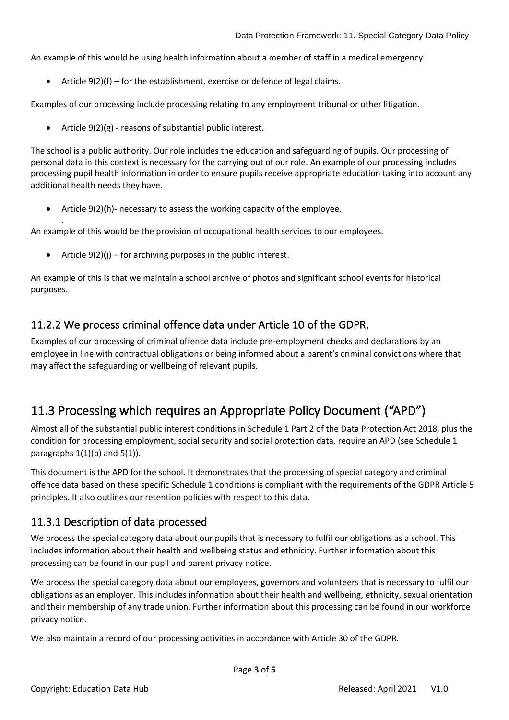An example of this would be using health information about a member of staff in a medical emergency.

Article  $9(2)(f)$  – for the establishment, exercise or defence of legal claims.

Examples of our processing include processing relating to any employment tribunal or other litigation.

Article  $9(2)(g)$  - reasons of substantial public interest.

The school is a public authority. Our role includes the education and safeguarding of pupils. Our processing of personal data in this context is necessary for the carrying out of our role. An example of our processing includes processing pupil health information in order to ensure pupils receive appropriate education taking into account any additional health needs they have.

• Article 9(2)(h)- necessary to assess the working capacity of the employee.

An example of this would be the provision of occupational health services to our employees.

Article  $9(2)(j)$  – for archiving purposes in the public interest.

.

An example of this is that we maintain a school archive of photos and significant school events for historical purposes.

### 11.2.2 We process criminal offence data under Article 10 of the GDPR.

Examples of our processing of criminal offence data include pre-employment checks and declarations by an employee in line with contractual obligations or being informed about a parent's criminal convictions where that may affect the safeguarding or wellbeing of relevant pupils.

# <span id="page-3-0"></span>11.3 Processing which requires an Appropriate Policy Document ("APD")

Almost all of the substantial public interest conditions in Schedule 1 Part 2 of the Data Protection Act 2018, plus the condition for processing employment, social security and social protection data, require an APD (see Schedule 1 paragraphs  $1(1)(b)$  and  $5(1)$ ).

This document is the APD for the school. It demonstrates that the processing of special category and criminal offence data based on these specific Schedule 1 conditions is compliant with the requirements of the GDPR Article 5 principles. It also outlines our retention policies with respect to this data.

### 11.3.1 Description of data processed

We process the special category data about our pupils that is necessary to fulfil our obligations as a school. This includes information about their health and wellbeing status and ethnicity. Further information about this processing can be found in our pupil and parent privacy notice.

We process the special category data about our employees, governors and volunteers that is necessary to fulfil our obligations as an employer. This includes information about their health and wellbeing, ethnicity, sexual orientation and their membership of any trade union. Further information about this processing can be found in our workforce privacy notice.

We also maintain a record of our processing activities in accordance with Article 30 of the GDPR.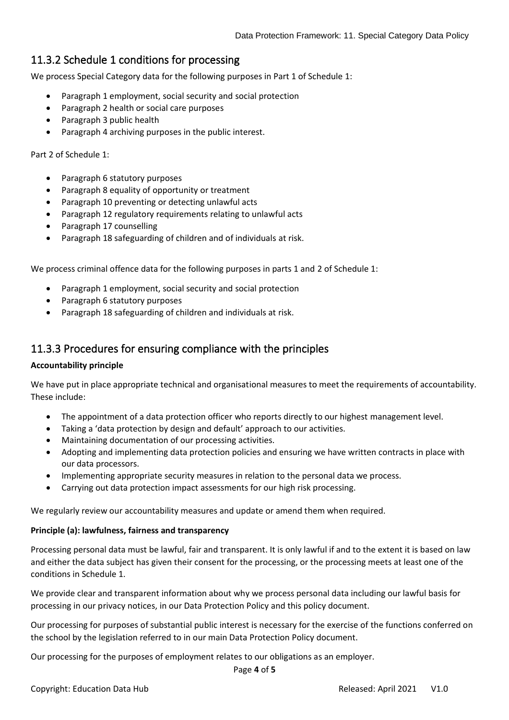# 11.3.2 Schedule 1 conditions for processing

We process Special Category data for the following purposes in Part 1 of Schedule 1:

- Paragraph 1 employment, social security and social protection
- Paragraph 2 health or social care purposes
- Paragraph 3 public health
- Paragraph 4 archiving purposes in the public interest.

Part 2 of Schedule 1:

- Paragraph 6 statutory purposes
- Paragraph 8 equality of opportunity or treatment
- Paragraph 10 preventing or detecting unlawful acts
- Paragraph 12 regulatory requirements relating to unlawful acts
- Paragraph 17 counselling
- Paragraph 18 safeguarding of children and of individuals at risk.

We process criminal offence data for the following purposes in parts 1 and 2 of Schedule 1:

- Paragraph 1 employment, social security and social protection
- Paragraph 6 statutory purposes
- Paragraph 18 safeguarding of children and individuals at risk.

### 11.3.3 Procedures for ensuring compliance with the principles

#### **Accountability principle**

We have put in place appropriate technical and organisational measures to meet the requirements of accountability. These include:

- The appointment of a data protection officer who reports directly to our highest management level.
- Taking a 'data protection by design and default' approach to our activities.
- Maintaining documentation of our processing activities.
- Adopting and implementing data protection policies and ensuring we have written contracts in place with our data processors.
- Implementing appropriate security measures in relation to the personal data we process.
- Carrying out data protection impact assessments for our high risk processing.

We regularly review our accountability measures and update or amend them when required.

#### **Principle (a): lawfulness, fairness and transparency**

Processing personal data must be lawful, fair and transparent. It is only lawful if and to the extent it is based on law and either the data subject has given their consent for the processing, or the processing meets at least one of the conditions in Schedule 1.

We provide clear and transparent information about why we process personal data including our lawful basis for processing in our privacy notices, in our Data Protection Policy and this policy document.

Our processing for purposes of substantial public interest is necessary for the exercise of the functions conferred on the school by the legislation referred to in our main Data Protection Policy document.

Our processing for the purposes of employment relates to our obligations as an employer.

Page **4** of **5**